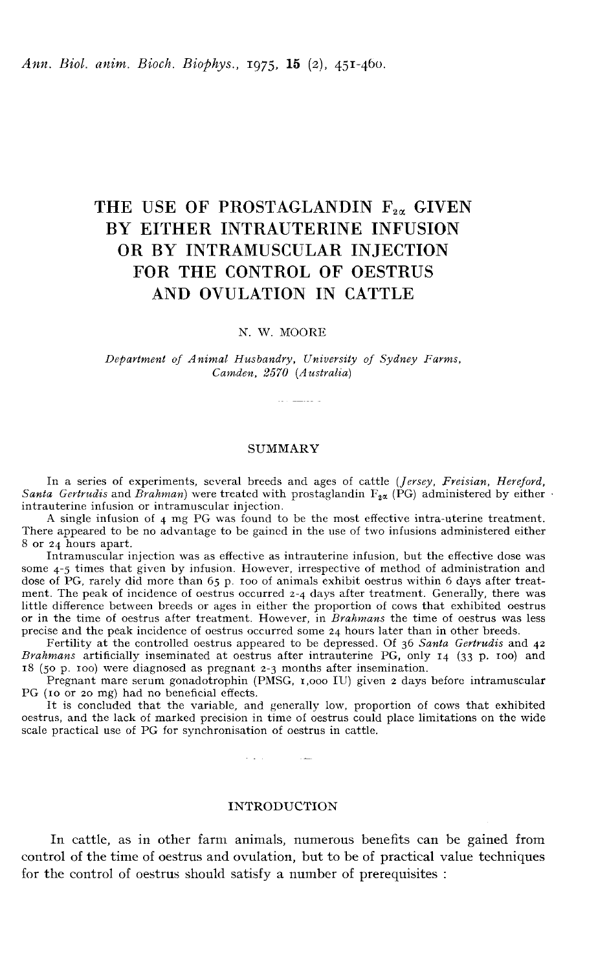## THE USE OF PROSTAGLANDIN  $F_{2\alpha}$  GIVEN BY EITHER INTRAUTERINE INFUSION OR BY INTRAMUSCULAR INJECTION FOR THE CONTROL OF OESTRUS AND OVULATION IN CATTLE

### N. W. MOORE

Department of Animal Husbandry, University of Sydney Farms, Camden, 2570 (Australia)

#### SUMMARY

In a series of experiments, several breeds and ages of cattle (*Jersey, Freisian, Hereford, Santa Gertrudis* and *Brahman*) were treated with prostaglandin  $F_{2\alpha}$  (PG) administered by either intrauterine infusion or int

A single infusion of 4 mg PG was found to be the most effective intra-uterine treatment. There appeared to be no advantage to be gained in the use of two infusions administered either 8 or 24 hours apart.

Intramuscular injection was as effective as intrauterine infusion, but the effective dose was some 4-5 times that given by infusion. However, irrespective of method of administration and dose of PG, rarely did more than 65 p. 100 of animals exhibit oestrus within 6 days after treatment. The peak of incidence of oestrus occurred 2-4 days after treatment. Generally, there was little difference between breeds or ages in either the proportion of cows that exhibited oestrus or in the time of oestrus after treatment. However, in Brahmans the time of oestrus was less precise and the peak incidence of oestrus occurred some 24 hours later than in other breeds.

Fertility at the controlled oestrus appeared to be depressed. Of 36 Santa Gertrudis and 42 Brahmans artificially inseminated at oestrus after intrauterine PG, only 14 (33 p. 100) and 18 (50 p. ioo) were diagnosed as pregnant 2-3 months after insemination.

Pregnant mare serum gonadotrophin (PMSG, i,ooo IU) given 2 days before intramuscular PG (io or 20 mg) had no beneficial effects.

It is concluded that the variable, and generally low, proportion of cows that exhibited oestrus, and the lack of marked precision in time of oestrus could place limitations on the wide scale practical use of PG for synchronisation of oestrus in cattle.

سندرج والمتعانة

#### INTRODUCTION

In cattle, as in other farm animals, numerous benefits can be gained from control of the time of oestrus and ovulation, but to be of practical value techniques for the control of oestrus should satisfy a number of prerequisites :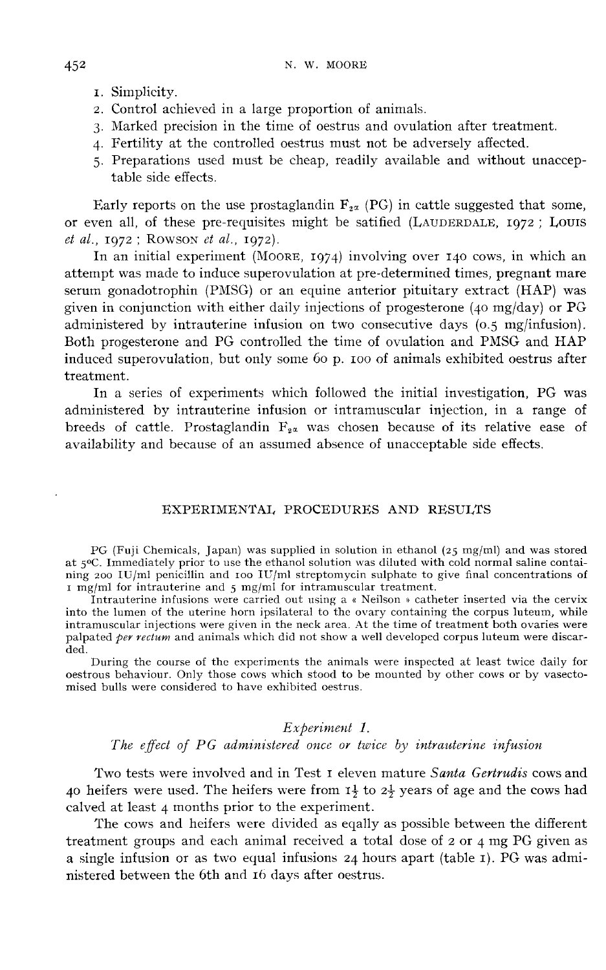- 
- 1. Simplicity. 2. Control achieved in a large proportion of animals.
- 3. Marked precision in the time of oestrus and ovulation after treatment.
- 4. Fertility at the controlled oestrus must not be adversely affected.
- 5. Preparations used must be cheap, readily available and without unacceptable side effects.

Early reports on the use prostaglandin  $F_{2\alpha}$  (PG) in cattle suggested that some, table side effects.<br>
Early reports on the use prostaglandin  $F_{2\alpha}$  (PG) in cattle suggested that some,<br>
or even all, of these pre-requisites might be satified (LAUDERDALE, 1972 ; LOUIS<br> *et al.*, 1972 ; ROWSON *et al.*,  $et$  al., 1972; Rowson  $et$  al., 1972).<br>In an initial experiment (Moore, 1974) involving over 140 cows, in which an

attempt was made to induce superovulation at pre-determined times, pregnant mare serum gonadotrophin (PMSG) or an equine anterior pituitary extract (HAP) was given in conjunction with either daily injections of progesterone (40 mg/day) or  $PG$ administered by intrauterine infusion on two consecutive days (0.5 mg/infusion). Both progesterone and PG controlled the time of ovulation and PMSG and HAP induced superovulation, but only some 60 p. IOO of animals exhibited oestrus after treatment.

In a series of experiments which followed the initial investigation, PG was administered by intrauterine infusion or intramuscular injection, in a range of breeds of cattle. Prostaglandin  $F_{2\alpha}$  was chosen because of its relative ease of availability and because of an assumed absence of unacceptable side effects.

#### EXPERIMENTAL PROCEDURES AND RESULTS

PG (Fuji Chemicals, Japan) was supplied in solution in ethanol (25 mg/ml) and was stored<br>at 5°C. Immediately prior to use the ethanol solution was diluted with cold normal saline contai-<br>ning ago  $UU$ ml popisillin and too ning 200 IU/ml penicillin and roo IU/ml streptomycin sulphate to give final concentrations of  $i$  mg/ml for intrauterine and  $5$  mg/ml for intramuscular treatment.

Intrauterine infusions were carried out using a « Neilson » catheter inserted via the cervix into the lumen of the uterine horn ipsilateral to the ovary containing the corpus luteum, while intramuscular injections were given in the neck area. At the time of treatment both ovaries were palpated *per rectum* and animals which did not show a well developed corpus luteum were discarded.

During the course of the experiments the animals were inspected at least twice daily for oestrous behaviour. Only those cows which stood to be mounted by other cows or by vasectomised bulls were considered to have exhibited oestrus.

#### Experiment 1.

## The effect of PG administered once or twice by intrauterine infusion

Two tests were involved and in Test I eleven mature Santa Gertrudis cows and 40 heifers were used. The heifers were from  $I_2^1$  to  $2\frac{1}{2}$  years of age and the cows had calved at least 4 months prior to the experiment.

The cows and heifers were divided as eqally as possible between the different treatment groups and each animal received a total dose of 2 or 4 mg PG given as a single infusion or as two equal infusions 24 hours apart (table r). PG was administered between the 6th and 16 days after oestrus.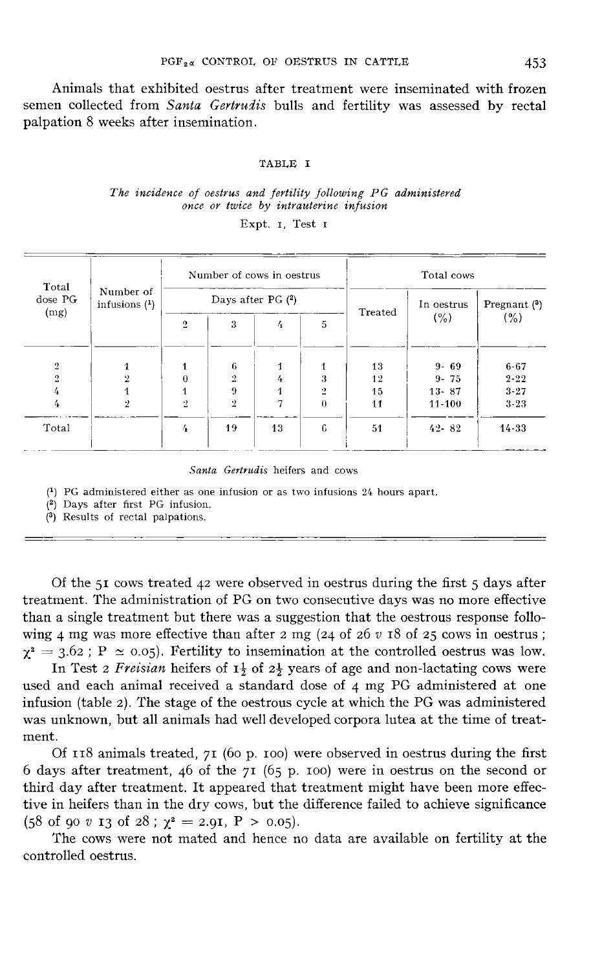Animals that exhibited oestrus after treatment were inseminated with frozen semen collected from Santa Gertrudis bulls and fertility was assessed by rectal palpation 8 weeks after insemination.

#### TABLE I

#### The incidence of oestrus and fertility following PG administered once or twice by intrauterine infusion

Expt. I, Test I

| Total          |                              |                | Number of cows in oestrus |                     |           | Total cows |            |                |  |  |
|----------------|------------------------------|----------------|---------------------------|---------------------|-----------|------------|------------|----------------|--|--|
| dose PG        | Number of<br>infusions $(1)$ |                |                           | Days after PG $(2)$ |           | Treated    | In oestrus | Pregnant $(3)$ |  |  |
| (mg)           |                              | $\overline{2}$ | 3                         | 4                   | 5         |            | (% )       | (%)            |  |  |
| $\overline{2}$ | $\overline{1}$               |                | 6                         |                     | 1         | 13         | $9 - 69$   | $6 - 67$       |  |  |
| $\overline{2}$ | $\mathbf{2}$                 | 0              | $\cdot$                   | 4                   | 3         | 12         | $9 - 75$   | $2 - 22$       |  |  |
| 4              |                              |                | 9                         |                     | $\ddot{}$ | 15         | $13 - 87$  | $3 - 27$       |  |  |
| 4              | ッ                            | ۰.             | $\ddot{2}$                |                     | $\theta$  | 11         | $11 - 100$ | $3 - 23$       |  |  |
| Total          |                              | 4              | 19                        | 13                  | 6         | 51         | $42 - 82$  | $14 - 33$      |  |  |

Santa Gertrudis heifers and cows

 $(1)$  PG administered either as one infusion or as two infusions 24 hours apart.

- <sup>(2)</sup> Days after first PG infusion.
- (3) Results of rectal palpations.

Of the 51 cows treated 42 were observed in oestrus during the first 5 days after treatment. The administration of PG on two consecutive days was no more effective than a single treatment but there was a suggestion that the oestrous response follothan a single treatment out there was a suggestion that the oestrous response rollowing 4 mg was more effective than after 2 mg (24 of 26 v 18 of 25 cows in oestrus ;  $\chi^2 = 3.62$ ; P  $\simeq 0.05$ ). Fertility to insemination

In Test 2 Freisian heifers of  $1\frac{1}{2}$  of  $2\frac{1}{2}$  years of age and non-lactating cows were used and each animal received a standard dose of 4 mg PG administered at one infusion (table 2). The stage of the oestrous cycle at which the PG was administered was unknown, but all animals had well developed corpora lutea at the time of treatment.

Of  $118$  animals treated,  $71$  (60 p. 100) were observed in oestrus during the first 6 days after treatment, 46 of the  $71$  (65 p. 100) were in oestrus on the second or third day after treatment. It appeared that treatment might have been more effective in heifers than in the dry cows, but the difference failed to achieve significance (58 of 90 v 13 of 28;  $\chi^2 = 2.9$ I,  $P > 0.05$ ).

The cows were not mated and hence no data are available on fertility at the controlled oestrus.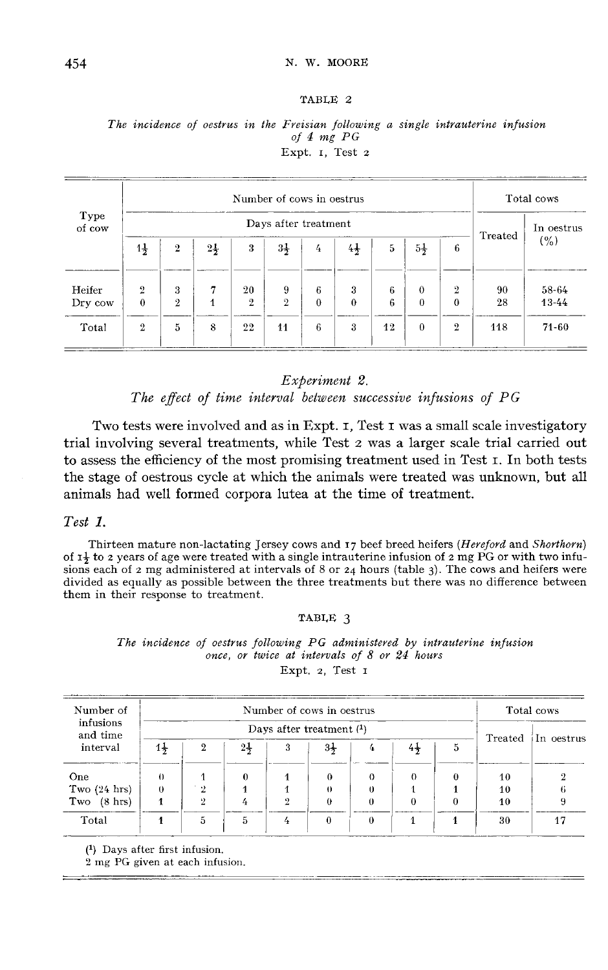#### TABLE 2

The incidence of oestrus in the Freisian following a single intrauterine infusion of  $4$  mg  $PG$ Expt. I. Test 2

|                |                |                |                |                | Number of cows in oestrus |          |                |    |                |                |         | Total cows |
|----------------|----------------|----------------|----------------|----------------|---------------------------|----------|----------------|----|----------------|----------------|---------|------------|
| Type<br>of cow |                |                |                |                | Days after treatment      |          |                |    |                |                | Treated | In oestrus |
|                | $1\frac{1}{2}$ | $\mathbf{2}$   | $2\frac{1}{2}$ | 3              | $3\frac{1}{2}$            | 4        | $4\frac{1}{2}$ | 5  | $5\frac{1}{2}$ | 6              |         | (%)        |
| Heifer         | $\overline{2}$ | 3              | 7              | 20             | 9                         | 6        | 3              | 6  | $\theta$       | $\overline{2}$ | 90      | 58-64      |
| Dry cow        | $\bf{0}$       | $\overline{2}$ | 1              | $\overline{2}$ | $\overline{2}$            | $\theta$ | $\theta$       | 6  | $\theta$       | $\theta$       | 28      | $13 - 44$  |
| Total          | $\overline{2}$ | 5              | 8              | 22             | 44                        | 6        | 3              | 12 | $\theta$       | $\overline{2}$ | 118     | $71 - 60$  |

#### Experiment 2.

The effect of time interval between successive infusions of PG

Two tests were involved and as in Expt. I, Test I was a small scale investigatory trial involving several treatments, while Test 2 was a larger scale trial carried out to assess the efficiency of the most promising treatment used in Test s. In both tests the stage of oestrous cycle at which the animals were treated was unknown, but all animals had well formed corpora lutea at the time of treatment.

#### Test 1.

Thirteen mature non-lactating Jersey cows and  $r_7$  beef breed heifers (*Hereford* and *Shorthorn*) of  $I_7$  to 2 years of age were treated with a single intrauterine infusion of 2 mg PG or with two infusions each of 2 mg administered at intervals of 8 or 24 hours (table 3). The cows and heifers were divided as equally as possible between the three treatments but there was no difference between them in their response to treatment.

#### TABLE 3

The incidence of oestrus following PG administered by intrauterine infusion once, or twice at intervals of 8 or 24 hours Expt. 2, Test I

| Number of                |                |              |                |   | Number of cows in oestrus  |        |                |   |    | Total cows          |
|--------------------------|----------------|--------------|----------------|---|----------------------------|--------|----------------|---|----|---------------------|
| infusions<br>and time    |                |              |                |   | Days after treatment $(1)$ |        |                |   |    |                     |
| interval                 | $1\frac{1}{2}$ | $\mathbf{2}$ | $2\frac{1}{2}$ | 3 | 3†                         | 4      | $4\frac{1}{2}$ | 5 |    | Treated iIn oestrus |
| One                      |                |              | 0              |   | 0                          | 0      |                |   | 10 |                     |
| Two $(24 \text{ hrs})$   | 0              | ۰.           |                |   | $\ddot{\phantom{0}}$       | $_{0}$ |                |   | 10 |                     |
| $(8 \text{ hrs})$<br>Two |                | 9            |                | റ | 0                          | 0      |                |   | 40 |                     |
| Total                    |                | 5            | 5              |   |                            | 0      |                |   | 30 |                     |

(1) Days after first infusion.

2 mg PG given at each infusion.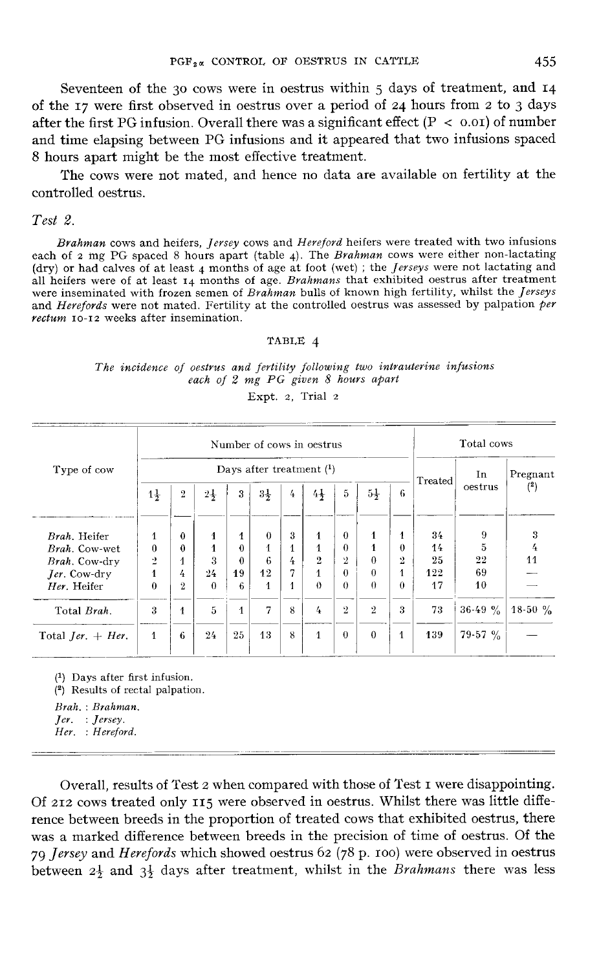Seventeen of the 30 cows were in oestrus within  $5$  days of treatment, and  $14$ of the 17 were first observed in oestrus over a period of 24 hours from 2 to 3 days<br>after the first PG infusion. Overall there was a significant effect ( $P < 0.01$ ) of number<br>and time claration between PG infusions and it and time elapsing between PG infusions and it appeared that two infusions spaced 8 hours apart might be the most effective treatment.

The cows were not mated, and hence no data are available on fertility at the controlled oestrus.

## Test 2.

Brahman cows and heifers, Jersey cows and Hereford heifers were treated with two infusions each of 2 mg PG spaced 8 hours apart (table 4). The *Brahman* cows were either non-lactating Fest 2.<br>Brahman cows and heifers, Jersey cows and Hereford heifers were treated with two infusions<br>each of 2 mg PG spaced 8 hours apart (table 4). The Brahman cows were either non-lactating<br>(dry) or had calves of at least all heifers were of at least  $14$  months of age. Brahmans that exhibited oestrus after treatment were inseminated with frozen semen of Brahman bulls of known high fertility, whilst the *Jerseys* (dry) or had calves of at least 4 months of age at foot (wet); the *Jerseys* were not lactating and all heifers were of at least  $\tau_4$  months of age. *Brahmans* that exhibited oestrus after treatment were inseminated wit

#### TABLE 4

#### The incidence of oestrus and fertility following two intrauterine infusions each of 2 mg PG given 8 hours apart

Expt. 2, Trial 2

|                                   |                |                |                |              |                |   | Number of cows in oestrus  |                |                |                |         | Total cows |           |
|-----------------------------------|----------------|----------------|----------------|--------------|----------------|---|----------------------------|----------------|----------------|----------------|---------|------------|-----------|
| Type of cow                       |                |                |                |              |                |   | Days after treatment $(1)$ |                |                |                | Treated | In         | Pregnant  |
|                                   | $1\frac{1}{2}$ | $\overline{2}$ | $2\frac{1}{2}$ | 3            | $3\frac{1}{2}$ | 4 | 44                         | 5              | $5\frac{1}{2}$ | 6              |         | oestrus    | $^{(2)}$  |
| Brah. Heifer                      | 1              | 0              | 1              | 1            | $\theta$       | 3 | 1                          | $\theta$       | 1              | 1              | 34      | 9          | 3         |
| <i>Brah.</i> Cow-wet              | 0              | 0              | 1              | $\theta$     |                |   | 1                          | $\Omega$       | 4              | $\theta$       | 14      | 5          | 4         |
| Brah. Cow-drv                     | ž              |                | 3              | $\theta$     | 6              | 4 | $\overline{2}$             | $\overline{2}$ | $\theta$       | $\overline{2}$ | 25      | $^{22}$    | 11        |
| Jer. Cow-dry                      |                | 4              | 24             | 19           | 12             | 7 | $\mathbf{1}$               | $\theta$       | $\Omega$       | 1              | 122     | 69         |           |
| Her. Heifer                       | $\Omega$       | $\overline{2}$ | $\theta$       | 6            | 1              |   | $\theta$                   | $\theta$       | $\theta$       | $\Omega$       | 17      | 10         |           |
| Total Brah.                       | 3              | 1              | 5              | $\mathbf{1}$ | 7              | 8 | 4                          | $\overline{2}$ | $\overline{2}$ | 3              | 73      | $36-49 \%$ | $18-50\%$ |
| Total <i>Jer.</i> $+$ <i>Her.</i> | $\mathbf{1}$   | 6              | 24             | 25           | 13             | 8 | $\mathbf{1}$               | $\theta$       | $\Omega$       | 1              | 139     | $79-57$ %  |           |

 $(1)$  Days after first infusion.

(2) Results of rectal palpation.

Brah.: Brahman.

 $Jer.$  :  $Jersey.$ 

Her. : Hereford.

Overall, results of Test 2 when compared with those of Test i were disappointing. Of 212 cows treated only 115 were observed in oestrus. Whilst there was little difference between breeds in the proportion of treated cows that exhibited oestrus, there was a marked difference between breeds in the precision of time of oestrus. Of the rence between breeds in the proportion of treated cows that exhibited oestrus, there was a marked difference between breeds in the precision of time of oestrus. Of the 79 Jersey and Herefords which showed oestrus 62 (78 p 79 Jersey and Herefords which showed oestrus 62 (78 p. 100) were observed in oestrus between  $2\frac{1}{2}$  and  $3\frac{1}{2}$  days after treatment, whilst in the *Brahmans* there was less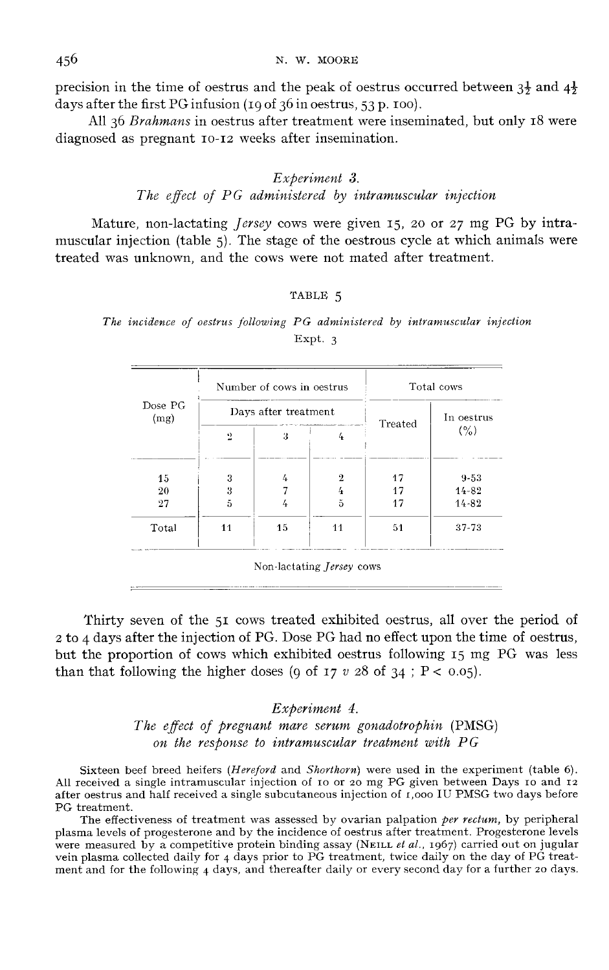N. W. MOORE

precision in the time of oestrus and the peak of oestrus occurred between  $3\frac{1}{2}$  and  $4\frac{1}{2}$ days after the first PG infusion  $(190f 36$  in oestrus, 53 p. 100).

All 36 Brahmans in oestrus after treatment were inseminated, but only 18 were diagnosed as pregnant 10-12 weeks after insemination.

## Experiment 3. The effect of PG administered by intramuscular injection

Mature, non-lactating *Jersey* cows were given 15, 20 or 27 mg PG by intramuscular injection (table 5). The stage of the oestrous cycle at which animals were treated was unknown, and the cows were not mated after treatment.

#### TABLE 5

#### The incidence of oestrus following PG administered by intramuscular injection Expt. 3

|                 |                | Number of cows in oestrus | Total cows |            |           |  |
|-----------------|----------------|---------------------------|------------|------------|-----------|--|
| Dose PG<br>(mg) |                | Days after treatment      | Treated    | In oestrus |           |  |
|                 | $\overline{2}$ | 3                         |            |            | (%)       |  |
| 15              | 3              | 4                         | 9.         | 17         | $9 - 53$  |  |
| 20              | 3              |                           |            | 17         | $14 - 82$ |  |
| 27              | 5              | 4                         | 5          | 17         | $14 - 82$ |  |
| Total           | 11             | 15                        | 11         | 51         | 37-73     |  |

Thirty seven of the 51 cows treated exhibited oestrus, all over the period of <sup>2</sup> to 4days after the injection of PG. Dose PG had no effect upon the time of oestrus, but the proportion of cows which exhibited oestrus following 15 mg PG was less than that following the higher doses (9 of 17  $v$  28 of 34; P < 0.05).

# Experiment 4. The effect of pregnant mare serum gonadotrophin (PMSG) on the response to intramuscular treatment with PG

Sixteen beef breed heifers (Hereford and Shorthorn) were used in the experiment (table 6). All received a single intramuscular injection of io or 20 mg PG given between Days io and 12 after oestrus and half received a single subcutaneous injection of 1,000 IU PMSG two days before PG treatment.

The effectiveness of treatment was assessed by ovarian palpation per rectum, by peripheral plasma levels of progesterone and by the incidence of oestrus after treatment. Progesterone levels The effectiveness of treatment was assessed by ovarian palpation *per rectum*, by peripheral<br>plasma levels of progesterone and by the incidence of oestrus after treatment. Progesterone levels<br>were measured by a competitiv were measured by a competitive protein binding assay (NEILL *et al.*, 1967) carried out on jugular vein plasma collected daily for 4 days prior to PG treatment, twice daily on the day of PG treatment and for the following 4 days, and thereafter daily or every second day for a further 20 days.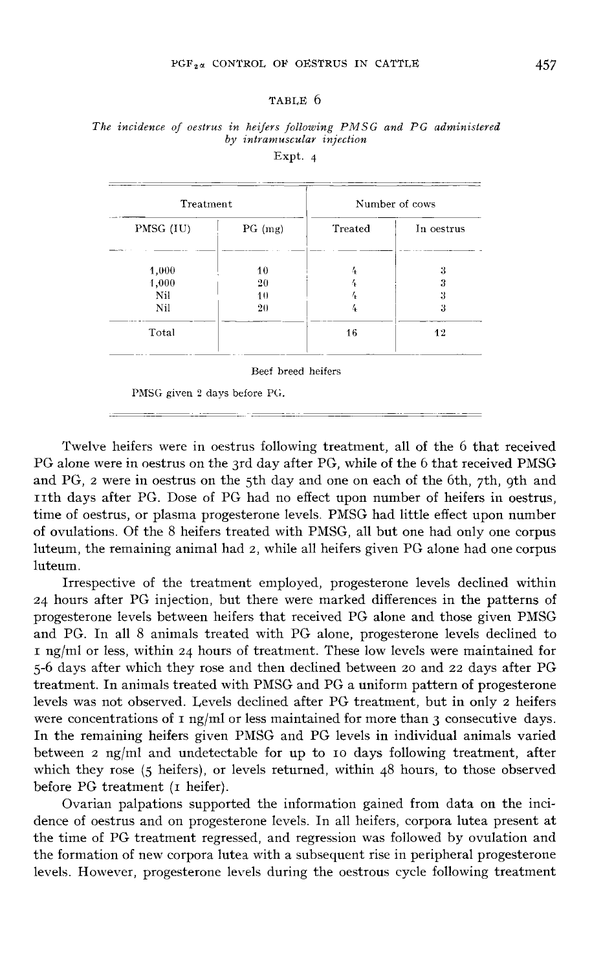#### TABLE 6

| Treatment |           | Number of cows |            |  |  |  |
|-----------|-----------|----------------|------------|--|--|--|
| PMSG (IU) | $PG$ (mg) | Treated        | In oestrus |  |  |  |
| 1,000     | 10        | 4              | 3          |  |  |  |
| 1,000     | 20        |                | 3          |  |  |  |
| Nil       | 10        |                | 3          |  |  |  |
| Nil       | 20        | 4              | 3          |  |  |  |
| Total     |           | 16             | 12         |  |  |  |

The incidence of oestrus in heifers following PMSG and PG administered by intramuscular injection

Expt. 4

Beef breed heifers

PMSG given 2 days before PG.

Twelve heifers were in oestrus following treatment, all of the 6 that received PG alone were in oestrus on the 3rd day after PG, while of the 6 that received PMSG and PG, 2 were in oestrus on the 5th day and one on each of the 6th, 7th, 9th and nth days after PG. Dose of PG had no effect upon number of heifers in oestrus, time of oestrus, or plasma progesterone levels. PMSG had little effect upon number of ovulations. Of the 8 heifers treated with PMSG, all but one had only one corpus luteum, the remaining animal had 2, while all heifers given PG alone had one corpus luteum.

Irrespective of the treatment employed, progesterone levels declined within <sup>24</sup> hours after PG injection, but there were marked differences in the patterns of progesterone levels between heifers that received PG alone and those given PMSG and PG. In all 8 animals treated with PG alone, progesterone levels declined to i ng/ml or less, within 24 hours of treatment. These low levels were maintained for 5-6 days after which they rose and then declined between 20 and 22 days after PG treatment. In animals treated with PMSG and PG a uniform pattern of progesterone levels was not observed. Levels declined after PG treatment, but in only 2 heifers were concentrations of  $I$  ng/ml or less maintained for more than 3 consecutive days. In the remaining heifers given PMSG and PG levels in individual animals varied between 2 ng/ml and undetectable for up to io days following treatment, after which they rose (5 heifers), or levels returned, within 48 hours, to those observed before PG treatment (I heifer).

Ovarian palpations supported the information gained from data on the incidence of oestrus and on progesterone levels. In all heifers, corpora lutea present at the time of PG treatment regressed, and regression was followed by ovulation and the formation of new corpora lutea with a subsequent rise in peripheral progesterone levels. However, progesterone levels during the oestrous cycle following treatment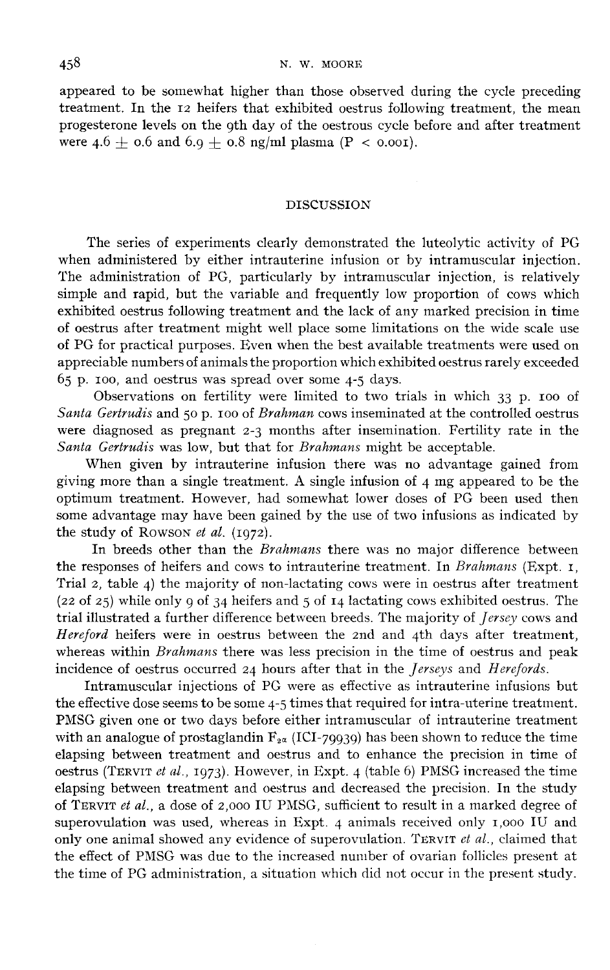appeared to be somewhat higher than those observed during the cycle preceding treatment. In the 12 heifers that exhibited oestrus following treatment, the mean progesterone levels on the 9th day of the oestrous cycle before and after treatment were  $4.6 + 0.6$  and  $6.9 + 0.8$  ng/ml plasma (P < 0.001).

#### DISCUSSION

The series of experiments clearly demonstrated the luteolytic activity of PG when administered by either intrauterine infusion or by intramuscular injection. The administration of PG, particularly by intramuscular injection, is relatively simple and rapid, but the variable and frequently low proportion of cows which exhibited oestrus following treatment and the lack of any marked precision in time of oestrus after treatment might well place some limitations on the wide scale use of PG for practical purposes. Even when the best available treatments were used on appreciable numbers of animals the proportion which exhibited oestrus rarely exceeded  $65$  p. 100, and oestrus was spread over some 4-5 days.

Observations on fertility were limited to two trials in which 33 p. 100 of Santa Gertrudis and 50 p. 100 of Brahman cows inseminated at the controlled oestrus of 1 G for practicar purposes. Even when the best available treatments were used on<br>appreciable numbers of animals the proportion which exhibited oestrus rarely exceeded<br>65 p. 100, and oestrus was spread over some 4-5 days were diagnosed as pregnant 2-3 months after insemination. Fertility rate in the Santa Gertrudis was low, but that for Brahmans might be acceptable.

When given by intrauterine infusion there was no advantage gained from giving more than a single treatment. A single infusion of  $\alpha$  mg appeared to be the optimum treatment. However, had somewhat lower doses of PG been used then some advantage may have been gained by the use of two infusions as indicated by Sanda Gerraans was low, but that<br>When given by intrauterine<br>giving more than a single treatme<br>optimum treatment. However, ha<br>some advantage may have been ga<br>the study of Rowson *et al.* (1972).<br>In breeds other than the *B* If more than a single treatment. A single infusion of 4 mg appeared to be the um treatment. However, had somewhat lower doses of PG been used then advantage may have been gained by the use of two infusions as indicated by optimum treatment. However, had somewhat lower doses of PG been used then<br>some advantage may have been gained by the use of two infusions as indicated by<br>the study of Rowson *et al.* (1972).<br>In breeds other than the *Brahm* 

Trial 2, table 4) the majority of non-lactating cows were in oestrus after treatment Trial 2, table 4) the majority of non-lactating cows were in oestrus after treatment (22 of 25) while only 9 of 34 heifers and 5 of 14 lactating cows exhibited oestrus. The trial illustrated a further difference between b trial illustrated a further difference between breeds. The majority of *Jersey* cows and *Hereford* heifers were in oestrus between the 2nd and 4th days after treatment, whereas within *Brahmans* there was less precision in the time of oestrus and peak incidence of oestrus occurred 24 hours after that in the *Jerseys* and *Herefords*.

Intramuscular injections of PG were as effective as intrauterine infusions but the effective dose seems to be some 4-5 times that required for intra-uterine treatment. PMSG given one or two days before either intramuscular of intrauterine treatment with an analogue of prostaglandin  $F_{2\alpha}$  (ICI-79939) has been shown to reduce the time incidence of oestrus occurred 24 hours after that in the *Jerseys* and *Herefords*.<br>Intramuscular injections of PG were as effective as intrauterine infusions but<br>the effective dose seems to be some 4-5 times that require elapsing between treatment and oestrus and to enhance the precision in time of oestrus (TERVIT et al., 1973). However, in Expt. 4 (table 6) PMSG increased the time elapsing between treatment and oestrus and decreased the precision. In the study of TERVIT et al., a dose of 2,000 IU PMSG, sufficient to result in a marked degree of superovulation was used, whereas in Expt. 4 animals received only  $1,000$  IU and only one animal showed any evidence of superovulation. TERVIT et al., claimed that the effect of PMSG was due to the increased number of ovarian follicles present at the time of PG administration, a situation which did not occur in the present study.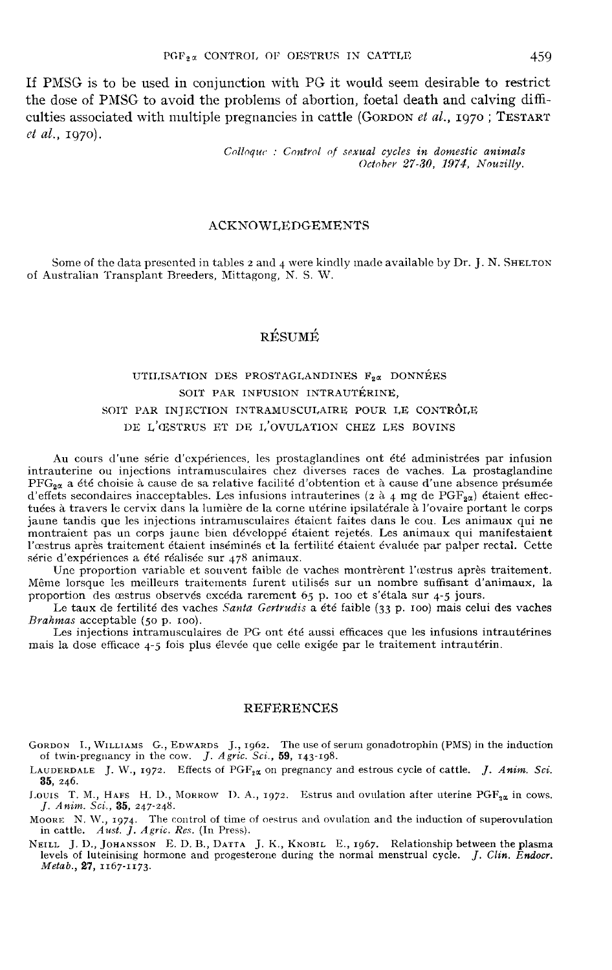If PMSG is to be used in conjunction with PG it would seem desirable to restrict the dose of PMSG to avoid the problems of abortion, foetal death and calving difficulties associated with multiple pregnancies in cattle (GORDON *et al.*,  $1970$ ; TESTART PGF<sub>2</sub> $\alpha$  CONTROL OF OESTRUS IN CATTLE 459<br>If PMSG is to be used in conjunction with PG it would seem desirable to restrict<br>the dose of PMSG to avoid the problems of abortion, foetal death and calving diffi-<br>culties asso et al., zg7o).

> Colloque : Control of sexual cycles in domestic animals October 27-30, 1974, Nouzilly.

#### ACKNOWLEDGEMENTS

Some of the data presented in tables 2 and 4were kindly made available by Dr. J. N. SHELTON of Australian Transplant Breeders, Mittagong, N. S. W.

## RÉSUMÉ

## UTILISATION DES PROSTAGLANDINES F<sub>2</sub>« DONNÉES SOIT PAR INFUSION INTRAUTÉRINE, SOIT PAR INJECTION INTRAMUSCULAIRE POUR LE CONTRÔLE DE L'œSTRUS ET DE I,'OVULATION CHEZ LES BOVINS

Au cours d'une série d'expériences, les prostaglandines ont été administrées par infusion intrauterine ou injections intramusculaires chez diverses races de vaches. La prostaglandine  $PFG_{2\alpha}$  a été choisie à cause de sa relative facilité d'obtention et à cause d'une absence présumée d'effets secondaires inacceptables. Les infusions intrauterines (2 à 4 mg de PGF<sub>2 $\alpha$ </sub>) étaient effec-Au cours d'une série d'expériences, les prostaglandines ont été administrées par infusion<br>intrauterine ou injections intramusculaires chez diverses races de vaches. La prostaglandine<br> $PFG_{2\alpha}$  a été choisie à cause de sa tuées à travers le cervix dans la lumière de la corne utérine ipsilatérale à l'ovaire portant le corps jaune tandis que les injections intramusculaires étaient faites dans le cou. Les animaux qui ne montraient pas un corps jaune bien développé étaient rejetés. Les animaux qui manifestaient l'oestrus après traitement étaient inséminés et la fertilité étaient évaluée par palper rectal. Cette série d'expériences a été réalisée sur 478 animaux.

Une proportion variable et souvent faible de vaches montrèrent l'œstrus après traitement. Même lorsque les meilleurs traitements furent utilisés sur un nombre suffisant d'animaux, la<br>proportion des œstrus observés excéda rarement 65 p. 100 et s'étala sur 4-5 jours.

proportion des ortions observés exches *Santa Gertrudis* a été faible (33 p. 100) mais celui des vaches *Brahmas* acceptable (50 p. 100).

Les injections intramusculaires de PG ont été aussi efficaces que les infusions intrautérines mais la dose efficace 4-5 fois plus élevée que celle exigée par le traitement intrautérin.

#### REFERENCES

- GORDON I., WILLIAMS G., EDWARDS J., 1962. The use of serum gonadotrophin (PMS) in the induction<br>of twin-pregnancy in the cow. *J. Agric. Sci.*, 59, 143-198.<br>LAUDERDALE J. W., 1972. Effects of PGF<sub>2</sub>x on pregnancy and estro EXET TAMENCES<br>SRDON I., WILLIAMS G., EDWARDS J., 1962. The use of s<br>of twin-pregnancy in the cow. J. Agric. Sci., 59, 143-198.<br>NUDERDALE I. W., 1972. Effects of PGF<sub>92</sub> on pregnancy
- LAUDERDALE J. W., 1972. Effects of  $PGF_{2\alpha}$  on pregnancy and estrous cycle of cattle. *J. Anim. Sci.* 35, 246. LAUDERDALE J. W., 1972. Effects of  $PGF_{1\alpha}$  on pregnancy and estrous cycle of cattle. J. Anim. Sci.<br>35, 246.<br>Louis T. M., HAFS H. D., MORROW D. A., 1972. Estrus and ovulation after uterine PGF<sub>3 $\alpha$ </sub> in cows.<br>J. Anim. Sc
- **35,** 246.<br>
Louts T. M., HAFS H. D., MORROW D. A., 1972. Estrus and ovulation after uterine  $PGF_{2\alpha}$  in cows.<br> *J. Anim. Sci.*, **35**, 247-248.<br>
MOORE N. W., 1974. The control of time of oestrus and ovulation and the indu
- in cattle.  $A$ ust. J. Agric. Res. (In Press).
- J. Anim. Sci., 35, 247-248.<br>
MOORE N. W., 1974. The control of time of oestrus and ovulation and the induction of superovulation<br>
in cattle. Aust. J. Agric. Res. (In Press).<br>
NEILL J. D., JOHANSSON E. D. B., DATTA J. K.,